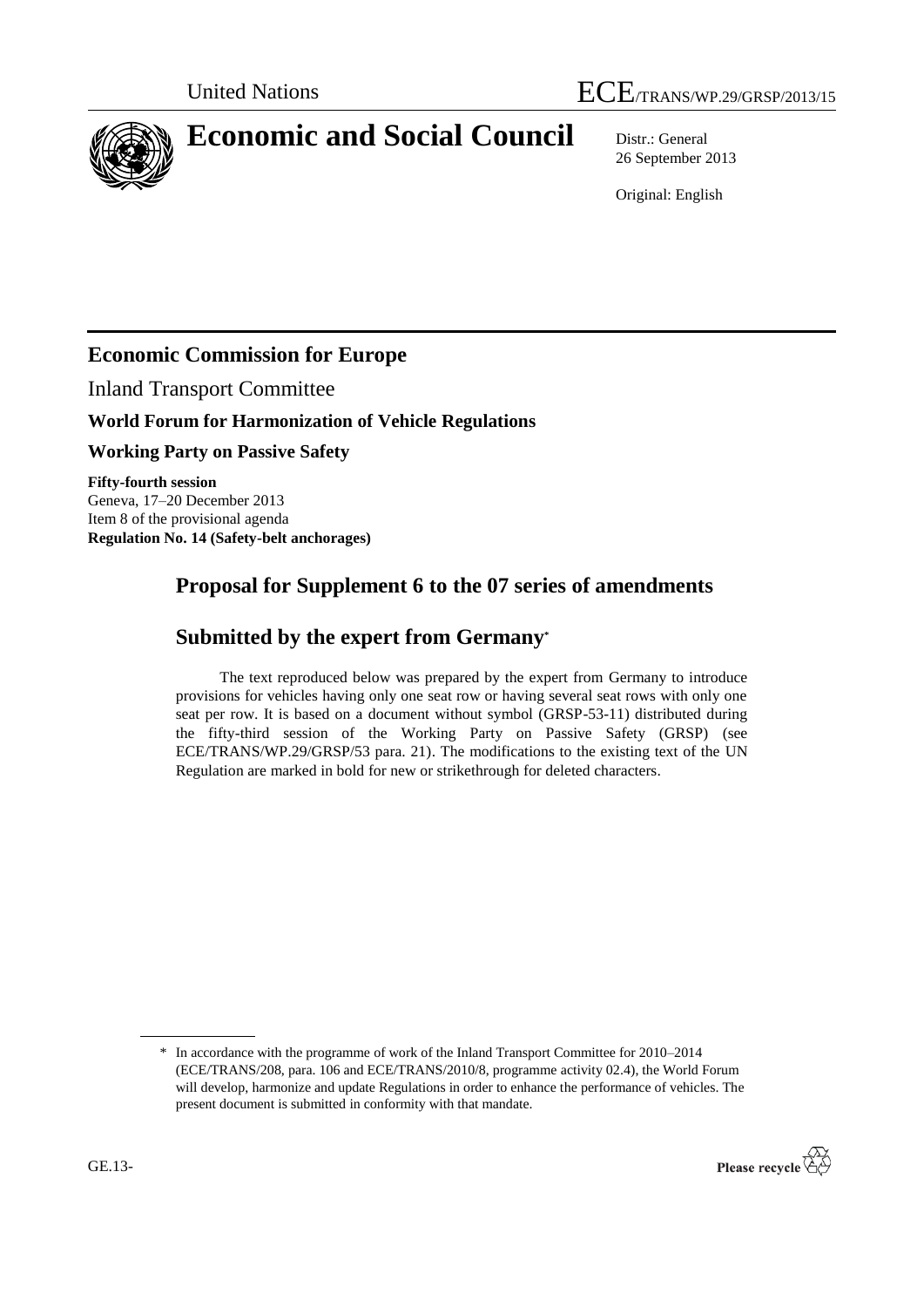

# **Economic and Social Council** Distr.: General

26 September 2013

Original: English

# **Economic Commission for Europe**

Inland Transport Committee

### **World Forum for Harmonization of Vehicle Regulations**

**Working Party on Passive Safety**

**Fifty-fourth session** Geneva, 17–20 December 2013 Item 8 of the provisional agenda **Regulation No. 14 (Safety-belt anchorages)**

# **Proposal for Supplement 6 to the 07 series of amendments**

# **Submitted by the expert from Germany\***

The text reproduced below was prepared by the expert from Germany to introduce provisions for vehicles having only one seat row or having several seat rows with only one seat per row. It is based on a document without symbol (GRSP-53-11) distributed during the fifty-third session of the Working Party on Passive Safety (GRSP) (see ECE/TRANS/WP.29/GRSP/53 para. 21). The modifications to the existing text of the UN Regulation are marked in bold for new or strikethrough for deleted characters.

<sup>\*</sup> In accordance with the programme of work of the Inland Transport Committee for 2010–2014 (ECE/TRANS/208, para. 106 and ECE/TRANS/2010/8, programme activity 02.4), the World Forum will develop, harmonize and update Regulations in order to enhance the performance of vehicles. The present document is submitted in conformity with that mandate.